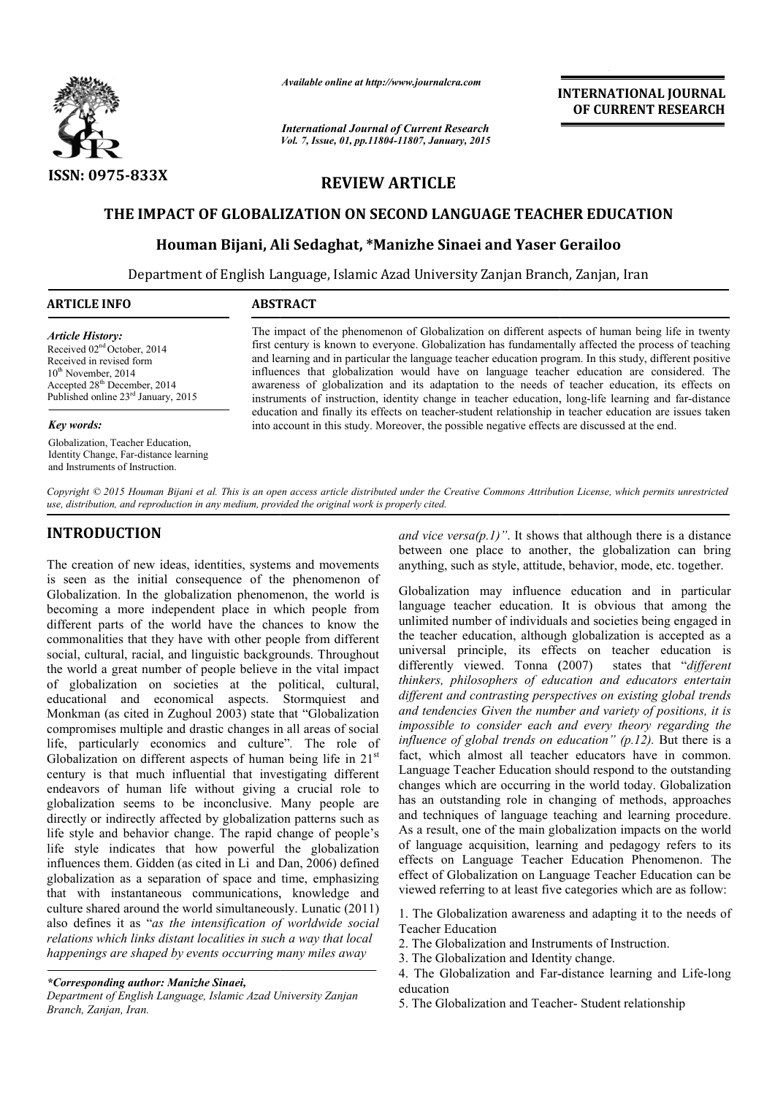

*Available online at http://www.journalcra.com*

*International Journal of Current Research Vol. 7, Issue, 01, pp.11804-11807, January, 2015* **INTERNATIONAL INTERNATIONAL JOURNAL OF CURRENT RESEARCH** 

## **REVIEW ARTICLE**

### **THE IMPACT OF GLOBALIZATION ON SECOND LANGUAGE TEACHER EDUCATION IMPACT OF**

## **Houman Bijani, Ali Sedaghat , Sedaghat, \*Manizhe Sinaei and Yaser Gerailoo**

Department of English Language, Islamic Azad University Zanjan Branch, English Zanjan, Iran

| <b>ARTICLE INFO</b> | <b>ABSTRACT</b>                                                                                                                                                                               |
|---------------------|-----------------------------------------------------------------------------------------------------------------------------------------------------------------------------------------------|
|                     | THE CONSTRUCTION OF A REPORT OF $\mathcal{C}$ and $\mathcal{C}$ and $\mathcal{C}$ and $\mathcal{C}$ and $\mathcal{C}$ and $\mathcal{C}$ and $\mathcal{C}$ and $\mathcal{C}$ and $\mathcal{C}$ |

*Article History:* Received 02<sup>nd</sup> October, 2014 Received in revised form 10<sup>th</sup> November, 2014 Accepted 28th December, 2014 Published online 23rd January, 2015

#### *Key words:*

Globalization, Teacher Education, Identity Change, Far-distance learning and Instruments of Instruction.

The impact of the phenomenon of Globalization on different aspects of human being life in twenty first century is known to everyone. Globalization has fundamentally affected the process of teaching and learning and in particular the language teacher education program. In this study, different positive influences that globali globalization would have on language teacher education are considered. The awareness of globalization and its adaptation to the needs of teacher education, its effects on first century is known to everyone. Globalization has fundamentally affected the process of teaching and learning and in particular the language teacher education program. In this study, different positive influences that education and finally its effects on teacher-student relationship in teacher education are issues taken education and finally its effects on teacher-student relationship in teacher education are into account in this study. Moreover, the possible negative effects are discussed at the end.

Copyright © 2015 Houman Bijani et al. This is an open access article distributed under the Creative Commons Attribution License, which permits unrestricted *use, distribution, and reproduction in any medium, provided the original work is properly cited.*

# **INTRODUCTION**

The creation of new ideas, identities, systems and movements is seen as the initial consequence of the phenomenon of Globalization. In the globalization phenomenon, the world is becoming a more independent place in which people from different parts of the world have the chances to know the commonalities that they have with other people from different social, cultural, racial, and linguistic backgrounds. Throughout the world a great number of people believe in the vital impact of globalization on societies at the political, cultural, educational and economical aspects. Stormquiest and Monkman (as cited in Zughoul 2003) state that "Globalization compromises multiple and drastic changes in all areas of social life, particularly economics and culture" *.* The role of Globalization on different aspects of human being life in 21<sup>st</sup> century is that much influential that investigating different endeavors of human life without giving a crucial role to globalization seems to be inconclusive. Many people are directly or indirectly affected by globalization patterns such as life style and behavior change. The rapid change of people's life style indicates that how powerful the globalization influences them. Gidden (as cited in Li and Dan, 2006) defined globalization as a separation of space and time, emphasizing that with instantaneous communications, knowledge and culture shared around the world simultaneously. Lunatic (2011) also defines it as "*as the intensification of worldwide social relations which links distant localities in such a way that local happenings are shaped by events occurring many miles away* irectly affected by globalization patterns such as<br>behavior change. The rapid change of people's<br>licates that how powerful the globalization<br>n. Gidden (as cited in Li and Dan, 2006) defined *end vice versa(p.1)*". It shows that<br>
between one place to another, the<br>
anything, such as style, attitude, between one place to another, the<br>
acce of the phenomenon of<br>
in any implementation any implementation<br>
charge in

*\*Corresponding author: Manizhe Sinaei,*

between one place to another, the globalization can bring anything, such as style, attitude, behavior, mode, etc. together. between one place to another, the globalization can bring anything, such as style, attitude, behavior, mode, etc. together.<br>Globalization may influence education and in particular and vice versa $(p, l)$ ". It shows that although there is a distance

language teacher education. It is obvious that among the unlimited number of individuals and societies being engaged in the teacher education, although globalization is accepted as a universal principle, its effects on teacher education is differently viewed. Tonna (2007) states that "different *thinkers, philosophers of education and educators entertain different and contrasting perspectives on existing global trends and tendencies Given the number and variety of positions, it is impossible to consider each and every theory regarding the influence of global trends on education" (p.12).* But there is a fact, which almost all teacher educators have in common. Language Teacher Education should respond to the outstanding changes which are occurring in the world today. Globalization has an outstanding role in changing of methods, approaches and techniques of language teaching and learning procedure. As a result, one of the main globalization impacts on the world of language acquisition, learning and pedagogy refers to its effects on Language Teacher Education Phenomenon. The effect of Globalization on Language Teacher Education can be viewed referring to at least five categories which are as follow: mited number of individuals and societies being engaged in teacher education, although globalization is accepted as a versal principle, its effects on teacher education is erently viewed. Tonna (2007) states that "differen *kers, philosophers of education and educators entertain rent and contrasting perspectives on existing global trends tendencies Given the number and variety of positions, it is sosible to consider each and every theory reg* fact, which almost all teacher educators have in common.<br>Language Teacher Education should respond to the outstanding<br>changes which are occurring in the world today. Globalization<br>has an outstanding role in changing of met effect of Globalization on Language Teacher Education can b<br>viewed referring to at least five categories which are as follow:<br>1. The Globalization awareness and adapting it to the needs o<br>Teacher Education<br>2. The Globaliza

1. The Globalization awareness and adapting it to the needs of Teacher Education

2. The Globalization and Instruments of Instruction.

*Department of English Language, Islamic Azad University Zanjan Branch, Zanjan, Iran.*

<sup>3.</sup> The Globalization and Identity change.

<sup>4.</sup> The Globalization and Far-distance learning and Life-long education

<sup>5.</sup> The Globalization and Teacher-Student relationship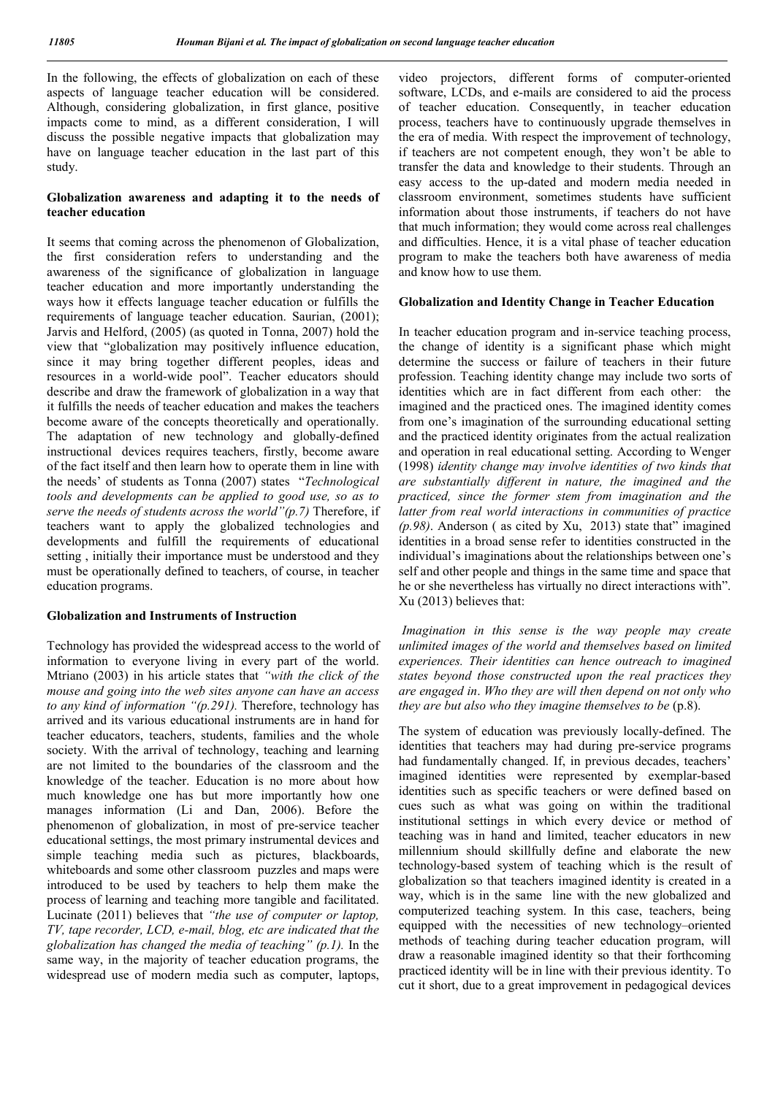In the following, the effects of globalization on each of these aspects of language teacher education will be considered. Although, considering globalization, in first glance, positive impacts come to mind, as a different consideration, I will discuss the possible negative impacts that globalization may have on language teacher education in the last part of this study.

### **Globalization awareness and adapting it to the needs of teacher education**

It seems that coming across the phenomenon of Globalization, the first consideration refers to understanding and the awareness of the significance of globalization in language teacher education and more importantly understanding the ways how it effects language teacher education or fulfills the requirements of language teacher education. Saurian, (2001); Jarvis and Helford, (2005) (as quoted in Tonna, 2007) hold the view that "globalization may positively influence education, since it may bring together different peoples, ideas and resources in a world-wide pool". Teacher educators should describe and draw the framework of globalization in a way that it fulfills the needs of teacher education and makes the teachers become aware of the concepts theoretically and operationally. The adaptation of new technology and globally-defined instructional devices requires teachers, firstly, become aware of the fact itself and then learn how to operate them in line with the needs' of students as Tonna (2007) states "*Technological tools and developments can be applied to good use, so as to serve the needs of students across the world"(p.7)* Therefore, if teachers want to apply the globalized technologies and developments and fulfill the requirements of educational setting , initially their importance must be understood and they must be operationally defined to teachers, of course, in teacher education programs.

#### **Globalization and Instruments of Instruction**

Technology has provided the widespread access to the world of information to everyone living in every part of the world. Mtriano (2003) in his article states that *"with the click of the mouse and going into the web sites anyone can have an access to any kind of information "(p.291).* Therefore, technology has arrived and its various educational instruments are in hand for teacher educators, teachers, students, families and the whole society. With the arrival of technology, teaching and learning are not limited to the boundaries of the classroom and the knowledge of the teacher. Education is no more about how much knowledge one has but more importantly how one manages information (Li and Dan, 2006). Before the phenomenon of globalization, in most of pre-service teacher educational settings, the most primary instrumental devices and simple teaching media such as pictures, blackboards, whiteboards and some other classroom puzzles and maps were introduced to be used by teachers to help them make the process of learning and teaching more tangible and facilitated. Lucinate (2011) believes that *"the use of computer or laptop, TV, tape recorder, LCD, e-mail, blog, etc are indicated that the globalization has changed the media of teaching" (p.1).* In the same way, in the majority of teacher education programs, the widespread use of modern media such as computer, laptops,

video projectors, different forms of computer-oriented software, LCDs, and e-mails are considered to aid the process of teacher education. Consequently, in teacher education process, teachers have to continuously upgrade themselves in the era of media. With respect the improvement of technology, if teachers are not competent enough, they won't be able to transfer the data and knowledge to their students. Through an easy access to the up-dated and modern media needed in classroom environment, sometimes students have sufficient information about those instruments, if teachers do not have that much information; they would come across real challenges and difficulties. Hence, it is a vital phase of teacher education program to make the teachers both have awareness of media and know how to use them.

#### **Globalization and Identity Change in Teacher Education**

In teacher education program and in-service teaching process, the change of identity is a significant phase which might determine the success or failure of teachers in their future profession. Teaching identity change may include two sorts of identities which are in fact different from each other: the imagined and the practiced ones. The imagined identity comes from one's imagination of the surrounding educational setting and the practiced identity originates from the actual realization and operation in real educational setting. According to Wenger (1998) *identity change may involve identities of two kinds that are substantially different in nature, the imagined and the practiced, since the former stem from imagination and the latter from real world interactions in communities of practice (p.98)*. Anderson ( as cited by Xu, 2013) state that" imagined identities in a broad sense refer to identities constructed in the individual's imaginations about the relationships between one's self and other people and things in the same time and space that he or she nevertheless has virtually no direct interactions with". Xu (2013) believes that:

*Imagination in this sense is the way people may create unlimited images of the world and themselves based on limited experiences. Their identities can hence outreach to imagined states beyond those constructed upon the real practices they are engaged in*. *Who they are will then depend on not only who they are but also who they imagine themselves to be (p.8).* 

The system of education was previously locally-defined. The identities that teachers may had during pre-service programs had fundamentally changed. If, in previous decades, teachers' imagined identities were represented by exemplar-based identities such as specific teachers or were defined based on cues such as what was going on within the traditional institutional settings in which every device or method of teaching was in hand and limited, teacher educators in new millennium should skillfully define and elaborate the new technology-based system of teaching which is the result of globalization so that teachers imagined identity is created in a way, which is in the same line with the new globalized and computerized teaching system. In this case, teachers, being equipped with the necessities of new technology–oriented methods of teaching during teacher education program, will draw a reasonable imagined identity so that their forthcoming practiced identity will be in line with their previous identity. To cut it short, due to a great improvement in pedagogical devices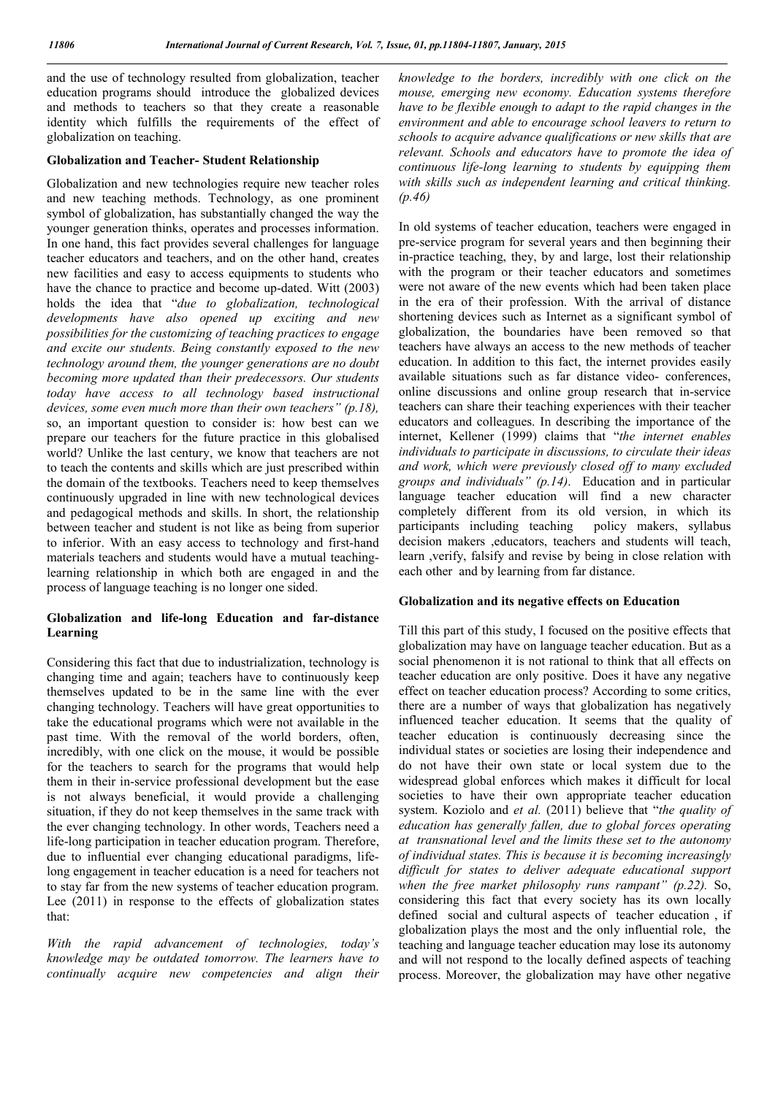and the use of technology resulted from globalization, teacher education programs should introduce the globalized devices and methods to teachers so that they create a reasonable identity which fulfills the requirements of the effect of globalization on teaching.

#### **Globalization and Teacher- Student Relationship**

Globalization and new technologies require new teacher roles and new teaching methods. Technology, as one prominent symbol of globalization, has substantially changed the way the younger generation thinks, operates and processes information. In one hand, this fact provides several challenges for language teacher educators and teachers, and on the other hand, creates new facilities and easy to access equipments to students who have the chance to practice and become up-dated. Witt (2003) holds the idea that "*due to globalization, technological developments have also opened up exciting and new possibilities for the customizing of teaching practices to engage and excite our students. Being constantly exposed to the new technology around them, the younger generations are no doubt becoming more updated than their predecessors. Our students today have access to all technology based instructional devices, some even much more than their own teachers" (p.18),* so, an important question to consider is: how best can we prepare our teachers for the future practice in this globalised world? Unlike the last century, we know that teachers are not to teach the contents and skills which are just prescribed within the domain of the textbooks. Teachers need to keep themselves continuously upgraded in line with new technological devices and pedagogical methods and skills. In short, the relationship between teacher and student is not like as being from superior to inferior. With an easy access to technology and first-hand materials teachers and students would have a mutual teachinglearning relationship in which both are engaged in and the process of language teaching is no longer one sided.

### **Globalization and life-long Education and far-distance Learning**

Considering this fact that due to industrialization, technology is changing time and again; teachers have to continuously keep themselves updated to be in the same line with the ever changing technology. Teachers will have great opportunities to take the educational programs which were not available in the past time. With the removal of the world borders, often, incredibly, with one click on the mouse, it would be possible for the teachers to search for the programs that would help them in their in-service professional development but the ease is not always beneficial, it would provide a challenging situation, if they do not keep themselves in the same track with the ever changing technology. In other words, Teachers need a life-long participation in teacher education program. Therefore, due to influential ever changing educational paradigms, lifelong engagement in teacher education is a need for teachers not to stay far from the new systems of teacher education program. Lee (2011) in response to the effects of globalization states that:

*With the rapid advancement of technologies, today's knowledge may be outdated tomorrow. The learners have to continually acquire new competencies and align their*  *knowledge to the borders, incredibly with one click on the mouse, emerging new economy. Education systems therefore have to be flexible enough to adapt to the rapid changes in the environment and able to encourage school leavers to return to schools to acquire advance qualifications or new skills that are relevant. Schools and educators have to promote the idea of continuous life-long learning to students by equipping them*  with skills such as independent learning and critical thinking. *(p.46)*

In old systems of teacher education, teachers were engaged in pre-service program for several years and then beginning their in-practice teaching, they, by and large, lost their relationship with the program or their teacher educators and sometimes were not aware of the new events which had been taken place in the era of their profession. With the arrival of distance shortening devices such as Internet as a significant symbol of globalization, the boundaries have been removed so that teachers have always an access to the new methods of teacher education. In addition to this fact, the internet provides easily available situations such as far distance video- conferences, online discussions and online group research that in-service teachers can share their teaching experiences with their teacher educators and colleagues. In describing the importance of the internet, Kellener (1999) claims that "*the internet enables individuals to participate in discussions, to circulate their ideas and work, which were previously closed off to many excluded groups and individuals" (p.14)*. Education and in particular language teacher education will find a new character completely different from its old version, in which its participants including teaching policy makers, syllabus decision makers ,educators, teachers and students will teach, learn ,verify, falsify and revise by being in close relation with each other and by learning from far distance.

#### **Globalization and its negative effects on Education**

Till this part of this study, I focused on the positive effects that globalization may have on language teacher education. But as a social phenomenon it is not rational to think that all effects on teacher education are only positive. Does it have any negative effect on teacher education process? According to some critics, there are a number of ways that globalization has negatively influenced teacher education. It seems that the quality of teacher education is continuously decreasing since the individual states or societies are losing their independence and do not have their own state or local system due to the widespread global enforces which makes it difficult for local societies to have their own appropriate teacher education system. Koziolo and *et al.* (2011) believe that "*the quality of education has generally fallen, due to global forces operating at transnational level and the limits these set to the autonomy of individual states. This is because it is becoming increasingly difficult for states to deliver adequate educational support when the free market philosophy runs rampant" (p.22).* So, considering this fact that every society has its own locally defined social and cultural aspects of teacher education , if globalization plays the most and the only influential role, the teaching and language teacher education may lose its autonomy and will not respond to the locally defined aspects of teaching process. Moreover, the globalization may have other negative